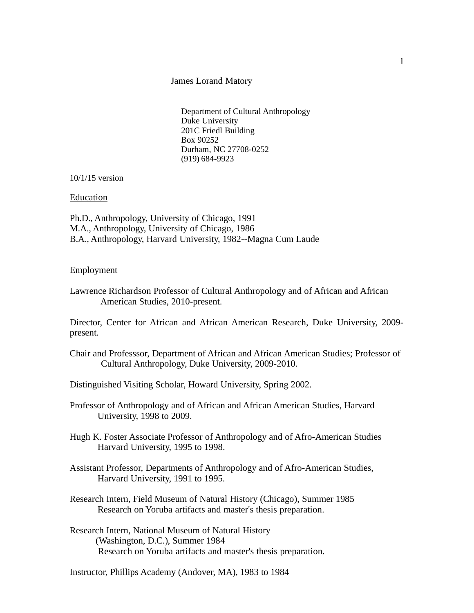## James Lorand Matory

Department of Cultural Anthropology Duke University 201C Friedl Building Box 90252 Durham, NC 27708-0252 (919) 684-9923

10/1/15 version

## Education

Ph.D., Anthropology, University of Chicago, 1991 M.A., Anthropology, University of Chicago, 1986 B.A., Anthropology, Harvard University, 1982--Magna Cum Laude

## **Employment**

Lawrence Richardson Professor of Cultural Anthropology and of African and African American Studies, 2010-present.

Director, Center for African and African American Research, Duke University, 2009 present.

- Chair and Professsor, Department of African and African American Studies; Professor of Cultural Anthropology, Duke University, 2009-2010.
- Distinguished Visiting Scholar, Howard University, Spring 2002.
- Professor of Anthropology and of African and African American Studies, Harvard University, 1998 to 2009.
- Hugh K. Foster Associate Professor of Anthropology and of Afro-American Studies Harvard University, 1995 to 1998.
- Assistant Professor, Departments of Anthropology and of Afro-American Studies, Harvard University, 1991 to 1995.
- Research Intern, Field Museum of Natural History (Chicago), Summer 1985 Research on Yoruba artifacts and master's thesis preparation.
- Research Intern, National Museum of Natural History (Washington, D.C.), Summer 1984 Research on Yoruba artifacts and master's thesis preparation.

Instructor, Phillips Academy (Andover, MA), 1983 to 1984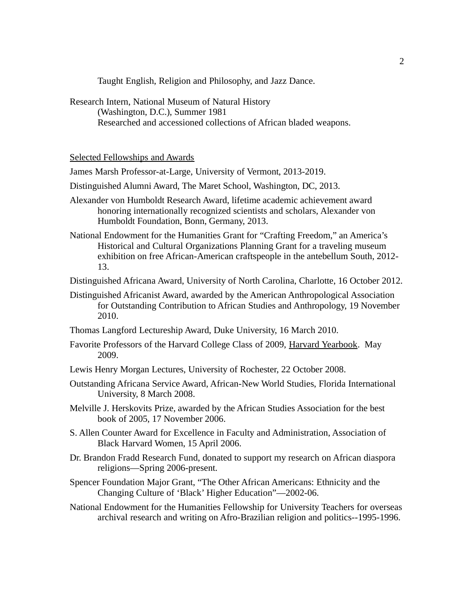Taught English, Religion and Philosophy, and Jazz Dance.

Research Intern, National Museum of Natural History (Washington, D.C.), Summer 1981 Researched and accessioned collections of African bladed weapons.

Selected Fellowships and Awards

James Marsh Professor-at-Large, University of Vermont, 2013-2019.

- Distinguished Alumni Award, The Maret School, Washington, DC, 2013.
- Alexander von Humboldt Research Award, lifetime academic achievement award honoring internationally recognized scientists and scholars, Alexander von Humboldt Foundation, Bonn, Germany, 2013.
- National Endowment for the Humanities Grant for "Crafting Freedom," an America's Historical and Cultural Organizations Planning Grant for a traveling museum exhibition on free African-American craftspeople in the antebellum South, 2012- 13.
- Distinguished Africana Award, University of North Carolina, Charlotte, 16 October 2012.
- Distinguished Africanist Award, awarded by the American Anthropological Association for Outstanding Contribution to African Studies and Anthropology, 19 November 2010.
- Thomas Langford Lectureship Award, Duke University, 16 March 2010.
- Favorite Professors of the Harvard College Class of 2009, Harvard Yearbook. May 2009.
- Lewis Henry Morgan Lectures, University of Rochester, 22 October 2008.
- Outstanding Africana Service Award, African-New World Studies, Florida International University, 8 March 2008.
- Melville J. Herskovits Prize, awarded by the African Studies Association for the best book of 2005, 17 November 2006.
- S. Allen Counter Award for Excellence in Faculty and Administration, Association of Black Harvard Women, 15 April 2006.
- Dr. Brandon Fradd Research Fund, donated to support my research on African diaspora religions—Spring 2006-present.
- Spencer Foundation Major Grant, "The Other African Americans: Ethnicity and the Changing Culture of 'Black' Higher Education"—2002-06.
- National Endowment for the Humanities Fellowship for University Teachers for overseas archival research and writing on Afro-Brazilian religion and politics--1995-1996.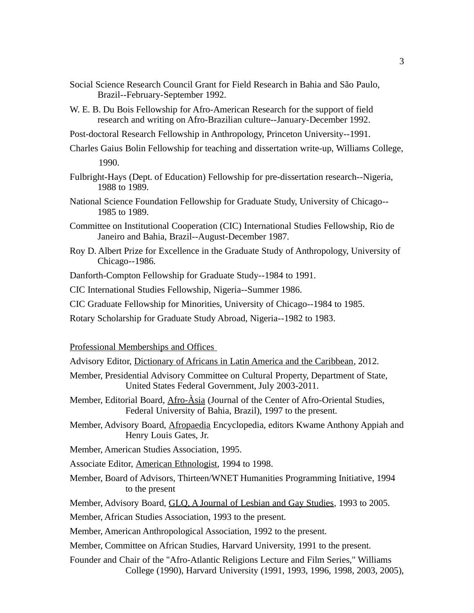- Social Science Research Council Grant for Field Research in Bahia and São Paulo, Brazil--February-September 1992.
- W. E. B. Du Bois Fellowship for Afro-American Research for the support of field research and writing on Afro-Brazilian culture--January-December 1992.
- Post-doctoral Research Fellowship in Anthropology, Princeton University--1991.
- Charles Gaius Bolin Fellowship for teaching and dissertation write-up, Williams College, 1990.
- Fulbright-Hays (Dept. of Education) Fellowship for pre-dissertation research--Nigeria, 1988 to 1989.
- National Science Foundation Fellowship for Graduate Study, University of Chicago-- 1985 to 1989.
- Committee on Institutional Cooperation (CIC) International Studies Fellowship, Rio de Janeiro and Bahia, Brazil--August-December 1987.
- Roy D. Albert Prize for Excellence in the Graduate Study of Anthropology, University of Chicago--1986.
- Danforth-Compton Fellowship for Graduate Study--1984 to 1991.
- CIC International Studies Fellowship, Nigeria--Summer 1986.
- CIC Graduate Fellowship for Minorities, University of Chicago--1984 to 1985.
- Rotary Scholarship for Graduate Study Abroad, Nigeria--1982 to 1983.

Professional Memberships and Offices

- Advisory Editor, Dictionary of Africans in Latin America and the Caribbean, 2012.
- Member, Presidential Advisory Committee on Cultural Property, Department of State, United States Federal Government, July 2003-2011.
- Member, Editorial Board, Afro-Àsia (Journal of the Center of Afro-Oriental Studies, Federal University of Bahia, Brazil), 1997 to the present.
- Member, Advisory Board, Afropaedia Encyclopedia, editors Kwame Anthony Appiah and Henry Louis Gates, Jr.

Member, American Studies Association, 1995.

Associate Editor, American Ethnologist, 1994 to 1998.

Member, Board of Advisors, Thirteen/WNET Humanities Programming Initiative, 1994 to the present

Member, Advisory Board, GLQ, A Journal of Lesbian and Gay Studies, 1993 to 2005.

Member, African Studies Association, 1993 to the present.

Member, American Anthropological Association, 1992 to the present.

Member, Committee on African Studies, Harvard University, 1991 to the present.

Founder and Chair of the "Afro-Atlantic Religions Lecture and Film Series," Williams College (1990), Harvard University (1991, 1993, 1996, 1998, 2003, 2005),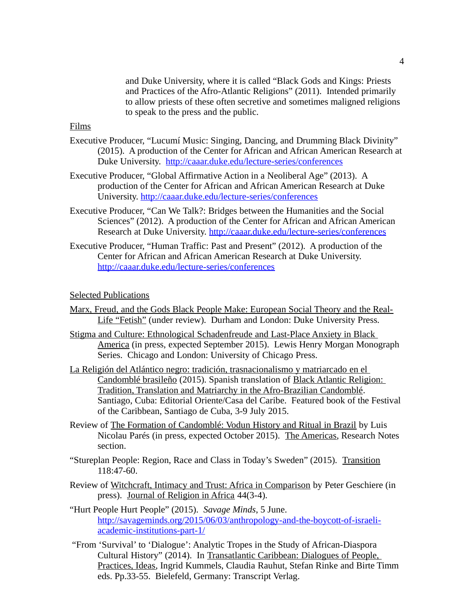and Duke University, where it is called "Black Gods and Kings: Priests and Practices of the Afro-Atlantic Religions" (2011). Intended primarily to allow priests of these often secretive and sometimes maligned religions to speak to the press and the public.

# Films

- Executive Producer, "Lucumí Music: Singing, Dancing, and Drumming Black Divinity" (2015). A production of the Center for African and African American Research at Duke University. <http://caaar.duke.edu/lecture-series/conferences>
- Executive Producer, "Global Affirmative Action in a Neoliberal Age" (2013). A production of the Center for African and African American Research at Duke University.<http://caaar.duke.edu/lecture-series/conferences>
- Executive Producer, "Can We Talk?: Bridges between the Humanities and the Social Sciences" (2012). A production of the Center for African and African American Research at Duke University.<http://caaar.duke.edu/lecture-series/conferences>
- Executive Producer, "Human Traffic: Past and Present" (2012). A production of the Center for African and African American Research at Duke University. <http://caaar.duke.edu/lecture-series/conferences>

## Selected Publications

- Marx, Freud, and the Gods Black People Make: European Social Theory and the Real-Life "Fetish" (under review). Durham and London: Duke University Press.
- Stigma and Culture: Ethnological Schadenfreude and Last-Place Anxiety in Black America (in press, expected September 2015). Lewis Henry Morgan Monograph Series. Chicago and London: University of Chicago Press.
- La Religión del Atlántico negro: tradición, trasnacionalismo y matriarcado en el Candomblé brasileño (2015). Spanish translation of Black Atlantic Religion: Tradition, Translation and Matriarchy in the Afro-Brazilian Candomblé. Santiago, Cuba: Editorial Oriente/Casa del Caribe. Featured book of the Festival of the Caribbean, Santiago de Cuba, 3-9 July 2015.
- Review of The Formation of Candomblé: Vodun History and Ritual in Brazil by Luis Nicolau Parés (in press, expected October 2015). The Americas, Research Notes section.
- "Stureplan People: Region, Race and Class in Today's Sweden" (2015). Transition 118:47-60.
- Review of Witchcraft, Intimacy and Trust: Africa in Comparison by Peter Geschiere (in press). Journal of Religion in Africa 44(3-4).
- "Hurt People Hurt People" (2015). *Savage Minds*, 5 June. [http://savageminds.org/2015/06/03/anthropology-and-the-boycott-of-israeli](http://savageminds.org/2015/06/03/anthropology-and-the-boycott-of-israeli-academic-institutions-part-1/)[academic-institutions-part-1/](http://savageminds.org/2015/06/03/anthropology-and-the-boycott-of-israeli-academic-institutions-part-1/)
- "From 'Survival' to 'Dialogue': Analytic Tropes in the Study of African-Diaspora Cultural History" (2014). In Transatlantic Caribbean: Dialogues of People, Practices, Ideas, Ingrid Kummels, Claudia Rauhut, Stefan Rinke and Birte Timm eds. Pp.33-55. Bielefeld, Germany: Transcript Verlag.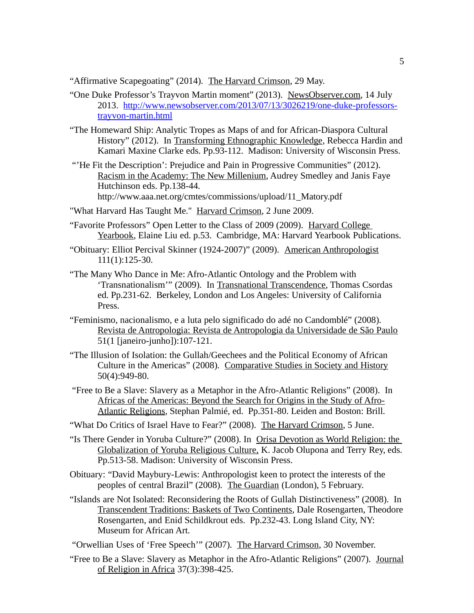"Affirmative Scapegoating" (2014). The Harvard Crimson, 29 May.

- "One Duke Professor's Trayvon Martin moment" (2013). NewsObserver.com, 14 July 2013. [http://www.newsobserver.com/2013/07/13/3026219/one-duke-professors](http://www.newsobserver.com/2013/07/13/3026219/one-duke-professors-trayvon-martin.html)[trayvon-martin.html](http://www.newsobserver.com/2013/07/13/3026219/one-duke-professors-trayvon-martin.html)
- "The Homeward Ship: Analytic Tropes as Maps of and for African-Diaspora Cultural History" (2012). In Transforming Ethnographic Knowledge, Rebecca Hardin and Kamari Maxine Clarke eds. Pp.93-112. Madison: University of Wisconsin Press.
- "'He Fit the Description': Prejudice and Pain in Progressive Communities" (2012). Racism in the Academy: The New Millenium, Audrey Smedley and Janis Faye Hutchinson eds. Pp.138-44. http://www.aaa.net.org/cmtes/commissions/upload/11\_Matory.pdf
- "What Harvard Has Taught Me." Harvard Crimson, 2 June 2009.
- "Favorite Professors" Open Letter to the Class of 2009 (2009). Harvard College Yearbook, Elaine Liu ed. p.53. Cambridge, MA: Harvard Yearbook Publications.
- "Obituary: Elliot Percival Skinner (1924-2007)" (2009). American Anthropologist 111(1):125-30.
- "The Many Who Dance in Me: Afro-Atlantic Ontology and the Problem with 'Transnationalism'" (2009). In Transnational Transcendence, Thomas Csordas ed. Pp.231-62. Berkeley, London and Los Angeles: University of California Press.
- "Feminismo, nacionalismo, e a luta pelo significado do adé no Candomblé" (2008). Revista de Antropologia: Revista de Antropologia da Universidade de São Paulo 51(1 [janeiro-junho]):107-121.
- "The Illusion of Isolation: the Gullah/Geechees and the Political Economy of African Culture in the Americas" (2008). Comparative Studies in Society and History 50(4):949-80.
- "Free to Be a Slave: Slavery as a Metaphor in the Afro-Atlantic Religions" (2008). In Africas of the Americas: Beyond the Search for Origins in the Study of Afro-Atlantic Religions, Stephan Palmié, ed. Pp.351-80. Leiden and Boston: Brill.
- "What Do Critics of Israel Have to Fear?" (2008). The Harvard Crimson, 5 June.
- "Is There Gender in Yoruba Culture?" (2008). In Orisa Devotion as World Religion: the Globalization of Yoruba Religious Culture, K. Jacob Olupona and Terry Rey, eds. Pp.513-58. Madison: University of Wisconsin Press.
- Obituary: "David Maybury-Lewis: Anthropologist keen to protect the interests of the peoples of central Brazil" (2008). The Guardian (London), 5 February.
- "Islands are Not Isolated: Reconsidering the Roots of Gullah Distinctiveness" (2008). In Transcendent Traditions: Baskets of Two Continents, Dale Rosengarten, Theodore Rosengarten, and Enid Schildkrout eds. Pp.232-43. Long Island City, NY: Museum for African Art.
- "Orwellian Uses of 'Free Speech'" (2007). The Harvard Crimson, 30 November.
- "Free to Be a Slave: Slavery as Metaphor in the Afro-Atlantic Religions" (2007). Journal of Religion in Africa 37(3):398-425.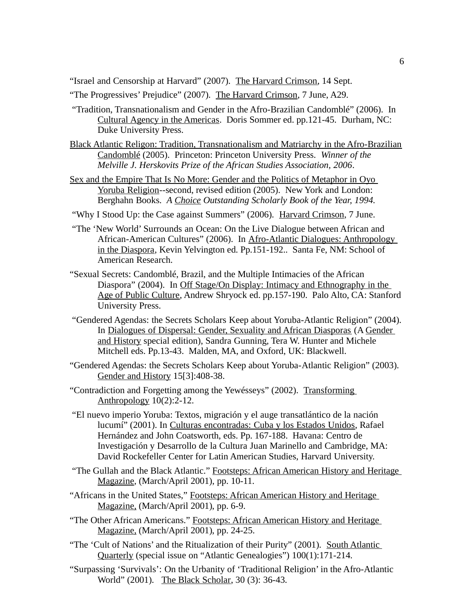"Israel and Censorship at Harvard" (2007). The Harvard Crimson, 14 Sept.

"The Progressives' Prejudice" (2007). The Harvard Crimson, 7 June, A29.

- "Tradition, Transnationalism and Gender in the Afro-Brazilian Candomblé" (2006). In Cultural Agency in the Americas. Doris Sommer ed. pp.121-45. Durham, NC: Duke University Press.
- Black Atlantic Religon: Tradition, Transnationalism and Matriarchy in the Afro-Brazilian Candomblé (2005). Princeton: Princeton University Press. *Winner of the Melville J. Herskovits Prize of the African Studies Association, 2006*.
- Sex and the Empire That Is No More: Gender and the Politics of Metaphor in Oyo Yoruba Religion--second, revised edition (2005). New York and London: Berghahn Books. *A Choice Outstanding Scholarly Book of the Year, 1994.*
- "Why I Stood Up: the Case against Summers" (2006). Harvard Crimson, 7 June.
- "The 'New World' Surrounds an Ocean: On the Live Dialogue between African and African-American Cultures" (2006). In Afro-Atlantic Dialogues: Anthropology in the Diaspora, Kevin Yelvington ed. Pp.151-192.. Santa Fe, NM: School of American Research.
- "Sexual Secrets: Candomblé, Brazil, and the Multiple Intimacies of the African Diaspora" (2004). In Off Stage/On Display: Intimacy and Ethnography in the Age of Public Culture, Andrew Shryock ed. pp.157-190. Palo Alto, CA: Stanford University Press.
- "Gendered Agendas: the Secrets Scholars Keep about Yoruba-Atlantic Religion" (2004). In Dialogues of Dispersal: Gender, Sexuality and African Diasporas (A Gender and History special edition), Sandra Gunning, Tera W. Hunter and Michele Mitchell eds. Pp.13-43. Malden, MA, and Oxford, UK: Blackwell.
- "Gendered Agendas: the Secrets Scholars Keep about Yoruba-Atlantic Religion" (2003). Gender and History 15[3]:408-38.
- "Contradiction and Forgetting among the Yewésseys" (2002). Transforming Anthropology 10(2):2-12.
- "El nuevo imperio Yoruba: Textos, migración y el auge transatlántico de la nación lucumí" (2001). In Culturas encontradas: Cuba y los Estados Unidos, Rafael Hernández and John Coatsworth, eds. Pp. 167-188. Havana: Centro de Investigación y Desarrollo de la Cultura Juan Marinello and Cambridge, MA: David Rockefeller Center for Latin American Studies, Harvard University.
- "The Gullah and the Black Atlantic." Footsteps: African American History and Heritage Magazine, (March/April 2001), pp. 10-11.
- "Africans in the United States," Footsteps: African American History and Heritage Magazine, (March/April 2001), pp. 6-9.
- "The Other African Americans." Footsteps: African American History and Heritage Magazine, (March/April 2001), pp. 24-25.
- "The 'Cult of Nations' and the Ritualization of their Purity" (2001). South Atlantic Quarterly (special issue on "Atlantic Genealogies") 100(1):171-214.
- "Surpassing 'Survivals': On the Urbanity of 'Traditional Religion' in the Afro-Atlantic World" (2001). The Black Scholar, 30 (3): 36-43.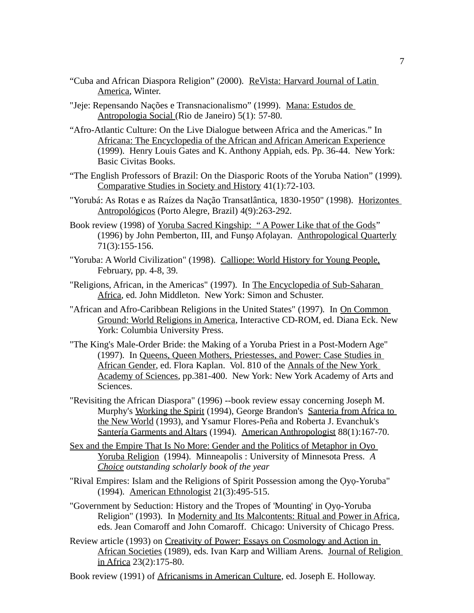- "Cuba and African Diaspora Religion" (2000). ReVista: Harvard Journal of Latin America, Winter.
- "Jeje: Repensando Nações e Transnacionalismo" (1999). Mana: Estudos de Antropologia Social (Rio de Janeiro) 5(1): 57-80.
- "Afro-Atlantic Culture: On the Live Dialogue between Africa and the Americas." In Africana: The Encyclopedia of the African and African American Experience (1999). Henry Louis Gates and K. Anthony Appiah, eds. Pp. 36-44. New York: Basic Civitas Books.
- "The English Professors of Brazil: On the Diasporic Roots of the Yoruba Nation" (1999). Comparative Studies in Society and History 41(1):72-103.
- "Yorubá: As Rotas e as Raízes da Nação Transatlântica, 1830-1950" (1998). Horizontes Antropológicos (Porto Alegre, Brazil) 4(9):263-292.
- Book review (1998) of Yoruba Sacred Kingship: "A Power Like that of the Gods" (1996) by John Pemberton, III, and Funşọ Afọlayan. Anthropological Quarterly 71(3):155-156.
- "Yoruba: A World Civilization" (1998). Calliope: World History for Young People, February, pp. 4-8, 39.
- "Religions, African, in the Americas" (1997). In The Encyclopedia of Sub-Saharan Africa, ed. John Middleton. New York: Simon and Schuster.
- "African and Afro-Caribbean Religions in the United States" (1997). In On Common Ground: World Religions in America, Interactive CD-ROM, ed. Diana Eck. New York: Columbia University Press.
- "The King's Male-Order Bride: the Making of a Yoruba Priest in a Post-Modern Age" (1997). In Queens, Queen Mothers, Priestesses, and Power: Case Studies in African Gender, ed. Flora Kaplan. Vol. 810 of the Annals of the New York Academy of Sciences, pp.381-400. New York: New York Academy of Arts and Sciences.
- "Revisiting the African Diaspora" (1996) --book review essay concerning Joseph M. Murphy's Working the Spirit (1994), George Brandon's Santeria from Africa to the New World (1993), and Ysamur Flores-Peña and Roberta J. Evanchuk's Santería Garments and Altars (1994). American Anthropologist 88(1):167-70.
- Sex and the Empire That Is No More: Gender and the Politics of Metaphor in Oyo Yoruba Religion (1994). Minneapolis : University of Minnesota Press. *A Choice outstanding scholarly book of the year*
- "Rival Empires: Islam and the Religions of Spirit Possession among the Ọyọ-Yoruba" (1994). American Ethnologist 21(3):495-515.
- "Government by Seduction: History and the Tropes of 'Mounting' in Ọyọ-Yoruba Religion" (1993). In Modernity and Its Malcontents: Ritual and Power in Africa, eds. Jean Comaroff and John Comaroff. Chicago: University of Chicago Press.
- Review article (1993) on Creativity of Power: Essays on Cosmology and Action in African Societies (1989), eds. Ivan Karp and William Arens. Journal of Religion in Africa 23(2):175-80.
- Book review (1991) of Africanisms in American Culture, ed. Joseph E. Holloway.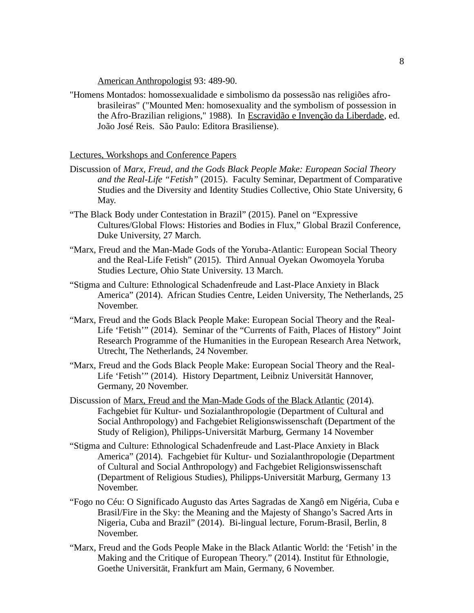American Anthropologist 93: 489-90.

"Homens Montados: homossexualidade e simbolismo da possessão nas religiões afrobrasileiras" ("Mounted Men: homosexuality and the symbolism of possession in the Afro-Brazilian religions," 1988). In Escravidão e Invenção da Liberdade, ed. João José Reis. São Paulo: Editora Brasiliense).

## Lectures, Workshops and Conference Papers

- Discussion of *Marx, Freud, and the Gods Black People Make: European Social Theory and the Real-Life "Fetish"* (2015). Faculty Seminar, Department of Comparative Studies and the Diversity and Identity Studies Collective, Ohio State University, 6 May.
- "The Black Body under Contestation in Brazil" (2015). Panel on "Expressive Cultures/Global Flows: Histories and Bodies in Flux," Global Brazil Conference, Duke University, 27 March.
- "Marx, Freud and the Man-Made Gods of the Yoruba-Atlantic: European Social Theory and the Real-Life Fetish" (2015). Third Annual Oyekan Owomoyela Yoruba Studies Lecture, Ohio State University. 13 March.
- "Stigma and Culture: Ethnological Schadenfreude and Last-Place Anxiety in Black America" (2014). African Studies Centre, Leiden University, The Netherlands, 25 November.
- "Marx, Freud and the Gods Black People Make: European Social Theory and the Real-Life 'Fetish'" (2014). Seminar of the "Currents of Faith, Places of History" Joint Research Programme of the Humanities in the European Research Area Network, Utrecht, The Netherlands, 24 November.
- "Marx, Freud and the Gods Black People Make: European Social Theory and the Real-Life 'Fetish'" (2014). History Department, Leibniz Universität Hannover, Germany, 20 November.
- Discussion of Marx, Freud and the Man-Made Gods of the Black Atlantic (2014). Fachgebiet für Kultur- und Sozialanthropologie (Department of Cultural and Social Anthropology) and Fachgebiet Religionswissenschaft (Department of the Study of Religion), Philipps-Universität Marburg, Germany 14 November
- "Stigma and Culture: Ethnological Schadenfreude and Last-Place Anxiety in Black America" (2014). Fachgebiet für Kultur- und Sozialanthropologie (Department of Cultural and Social Anthropology) and Fachgebiet Religionswissenschaft (Department of Religious Studies), Philipps-Universität Marburg, Germany 13 November.
- "Fogo no Céu: O Significado Augusto das Artes Sagradas de Xangô em Nigéria, Cuba e Brasil/Fire in the Sky: the Meaning and the Majesty of Shango's Sacred Arts in Nigeria, Cuba and Brazil" (2014). Bi-lingual lecture, Forum-Brasil, Berlin, 8 November.
- "Marx, Freud and the Gods People Make in the Black Atlantic World: the 'Fetish' in the Making and the Critique of European Theory." (2014). Institut für Ethnologie, Goethe Universität, Frankfurt am Main, Germany, 6 November.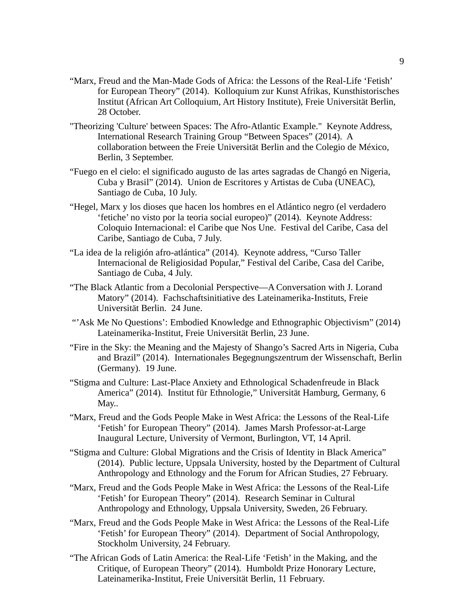- "Marx, Freud and the Man-Made Gods of Africa: the Lessons of the Real-Life 'Fetish' for European Theory" (2014). Kolloquium zur Kunst Afrikas, Kunsthistorisches Institut (African Art Colloquium, Art History Institute), Freie Universität Berlin, 28 October.
- "Theorizing 'Culture' between Spaces: The Afro-Atlantic Example." Keynote Address, International Research Training Group "Between Spaces" (2014). A collaboration between the Freie Universität Berlin and the Colegio de México, Berlin, 3 September.
- "Fuego en el cielo: el significado augusto de las artes sagradas de Changó en Nigeria, Cuba y Brasil" (2014). Union de Escritores y Artistas de Cuba (UNEAC), Santiago de Cuba, 10 July.
- "Hegel, Marx y los dioses que hacen los hombres en el Atlántico negro (el verdadero 'fetiche' no visto por la teoria social europeo)" (2014). Keynote Address: Coloquio Internacional: el Caribe que Nos Une. Festival del Caribe, Casa del Caribe, Santiago de Cuba, 7 July.
- "La idea de la religión afro-atlántica" (2014). Keynote address, "Curso Taller Internacional de Religiosidad Popular," Festival del Caribe, Casa del Caribe, Santiago de Cuba, 4 July.
- "The Black Atlantic from a Decolonial Perspective—A Conversation with J. Lorand Matory" (2014). Fachschaftsinitiative des Lateinamerika-Instituts, Freie Universität Berlin. 24 June.
- "'Ask Me No Questions': Embodied Knowledge and Ethnographic Objectivism" (2014) Lateinamerika-Institut, Freie Universität Berlin, 23 June.
- "Fire in the Sky: the Meaning and the Majesty of Shango's Sacred Arts in Nigeria, Cuba and Brazil" (2014). Internationales Begegnungszentrum der Wissenschaft, Berlin (Germany). 19 June.
- "Stigma and Culture: Last-Place Anxiety and Ethnological Schadenfreude in Black America" (2014). Institut für Ethnologie," Universität Hamburg, Germany, 6 May..
- "Marx, Freud and the Gods People Make in West Africa: the Lessons of the Real-Life 'Fetish' for European Theory" (2014). James Marsh Professor-at-Large Inaugural Lecture, University of Vermont, Burlington, VT, 14 April.
- "Stigma and Culture: Global Migrations and the Crisis of Identity in Black America" (2014). Public lecture, Uppsala University, hosted by the Department of Cultural Anthropology and Ethnology and the Forum for African Studies, 27 February.
- "Marx, Freud and the Gods People Make in West Africa: the Lessons of the Real-Life 'Fetish' for European Theory" (2014). Research Seminar in Cultural Anthropology and Ethnology, Uppsala University, Sweden, 26 February.
- "Marx, Freud and the Gods People Make in West Africa: the Lessons of the Real-Life 'Fetish' for European Theory" (2014). Department of Social Anthropology, Stockholm University, 24 February.
- "The African Gods of Latin America: the Real-Life 'Fetish' in the Making, and the Critique, of European Theory" (2014). Humboldt Prize Honorary Lecture, Lateinamerika-Institut, Freie Universität Berlin, 11 February.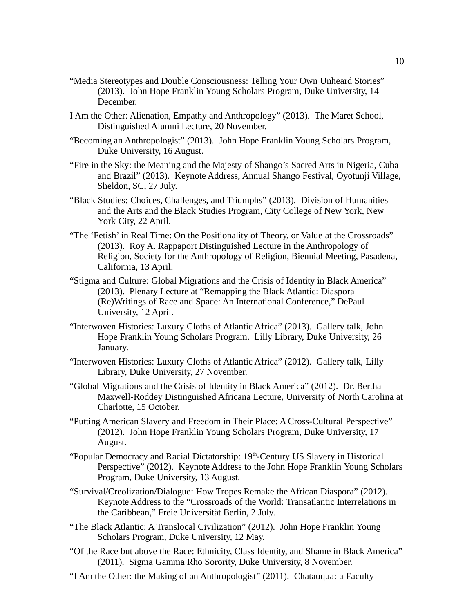- "Media Stereotypes and Double Consciousness: Telling Your Own Unheard Stories" (2013). John Hope Franklin Young Scholars Program, Duke University, 14 December.
- I Am the Other: Alienation, Empathy and Anthropology" (2013). The Maret School, Distinguished Alumni Lecture, 20 November.
- "Becoming an Anthropologist" (2013). John Hope Franklin Young Scholars Program, Duke University, 16 August.
- "Fire in the Sky: the Meaning and the Majesty of Shango's Sacred Arts in Nigeria, Cuba and Brazil" (2013). Keynote Address, Annual Shango Festival, Oyotunji Village, Sheldon, SC, 27 July.
- "Black Studies: Choices, Challenges, and Triumphs" (2013). Division of Humanities and the Arts and the Black Studies Program, City College of New York, New York City, 22 April.
- "The 'Fetish' in Real Time: On the Positionality of Theory, or Value at the Crossroads" (2013). Roy A. Rappaport Distinguished Lecture in the Anthropology of Religion, Society for the Anthropology of Religion, Biennial Meeting, Pasadena, California, 13 April.
- "Stigma and Culture: Global Migrations and the Crisis of Identity in Black America" (2013). Plenary Lecture at "Remapping the Black Atlantic: Diaspora (Re)Writings of Race and Space: An International Conference," DePaul University, 12 April.
- "Interwoven Histories: Luxury Cloths of Atlantic Africa" (2013). Gallery talk, John Hope Franklin Young Scholars Program. Lilly Library, Duke University, 26 January.
- "Interwoven Histories: Luxury Cloths of Atlantic Africa" (2012). Gallery talk, Lilly Library, Duke University, 27 November.
- "Global Migrations and the Crisis of Identity in Black America" (2012). Dr. Bertha Maxwell-Roddey Distinguished Africana Lecture, University of North Carolina at Charlotte, 15 October.
- "Putting American Slavery and Freedom in Their Place: A Cross-Cultural Perspective" (2012). John Hope Franklin Young Scholars Program, Duke University, 17 August.
- "Popular Democracy and Racial Dictatorship: 19<sup>th</sup>-Century US Slavery in Historical Perspective" (2012). Keynote Address to the John Hope Franklin Young Scholars Program, Duke University, 13 August.
- "Survival/Creolization/Dialogue: How Tropes Remake the African Diaspora" (2012). Keynote Address to the "Crossroads of the World: Transatlantic Interrelations in the Caribbean," Freie Universität Berlin, 2 July.
- "The Black Atlantic: A Translocal Civilization" (2012). John Hope Franklin Young Scholars Program, Duke University, 12 May.
- "Of the Race but above the Race: Ethnicity, Class Identity, and Shame in Black America" (2011). Sigma Gamma Rho Sorority, Duke University, 8 November.
- "I Am the Other: the Making of an Anthropologist" (2011). Chatauqua: a Faculty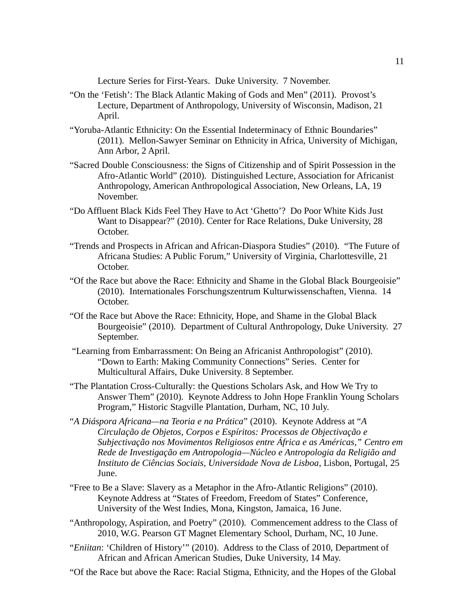Lecture Series for First-Years. Duke University. 7 November.

- "On the 'Fetish': The Black Atlantic Making of Gods and Men" (2011). Provost's Lecture, Department of Anthropology, University of Wisconsin, Madison, 21 April.
- "Yoruba-Atlantic Ethnicity: On the Essential Indeterminacy of Ethnic Boundaries" (2011). Mellon-Sawyer Seminar on Ethnicity in Africa, University of Michigan, Ann Arbor, 2 April.
- "Sacred Double Consciousness: the Signs of Citizenship and of Spirit Possession in the Afro-Atlantic World" (2010). Distinguished Lecture, Association for Africanist Anthropology, American Anthropological Association, New Orleans, LA, 19 November.
- "Do Affluent Black Kids Feel They Have to Act 'Ghetto'? Do Poor White Kids Just Want to Disappear?" (2010). Center for Race Relations, Duke University, 28 October.
- "Trends and Prospects in African and African-Diaspora Studies" (2010). "The Future of Africana Studies: A Public Forum," University of Virginia, Charlottesville, 21 October.
- "Of the Race but above the Race: Ethnicity and Shame in the Global Black Bourgeoisie" (2010). Internationales Forschungszentrum Kulturwissenschaften, Vienna. 14 October.
- "Of the Race but Above the Race: Ethnicity, Hope, and Shame in the Global Black Bourgeoisie" (2010). Department of Cultural Anthropology, Duke University. 27 September.
- "Learning from Embarrassment: On Being an Africanist Anthropologist" (2010). "Down to Earth: Making Community Connections" Series. Center for Multicultural Affairs, Duke University. 8 September.
- "The Plantation Cross-Culturally: the Questions Scholars Ask, and How We Try to Answer Them" (2010). Keynote Address to John Hope Franklin Young Scholars Program," Historic Stagville Plantation, Durham, NC, 10 July.
- "*A Diáspora Africana—na Teoria e na Prática*" (2010). Keynote Address at "*A Circulação de Objetos, Corpos e Espíritos: Processos de Objectivação e Subjectivação nos Movimentos Religiosos entre África e as Américas," Centro em Rede de Investigação em Antropologia—Núcleo e Antropologia da Religião and Instituto de Ciências Sociais, Universidade Nova de Lisboa*, Lisbon, Portugal, 25 June.
- "Free to Be a Slave: Slavery as a Metaphor in the Afro-Atlantic Religions" (2010). Keynote Address at "States of Freedom, Freedom of States" Conference, University of the West Indies, Mona, Kingston, Jamaica, 16 June.
- "Anthropology, Aspiration, and Poetry" (2010). Commencement address to the Class of 2010, W.G. Pearson GT Magnet Elementary School, Durham, NC, 10 June.
- "*Eniitan*: 'Children of History'" (2010). Address to the Class of 2010, Department of African and African American Studies, Duke University, 14 May.
- "Of the Race but above the Race: Racial Stigma, Ethnicity, and the Hopes of the Global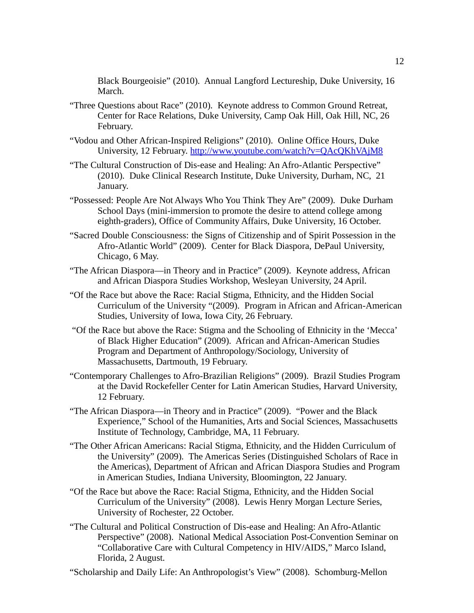Black Bourgeoisie" (2010). Annual Langford Lectureship, Duke University, 16 March.

- "Three Questions about Race" (2010). Keynote address to Common Ground Retreat, Center for Race Relations, Duke University, Camp Oak Hill, Oak Hill, NC, 26 February.
- "Vodou and Other African-Inspired Religions" (2010). Online Office Hours, Duke University, 12 February.<http://www.youtube.com/watch?v=QAcQKhVAjM8>
- "The Cultural Construction of Dis-ease and Healing: An Afro-Atlantic Perspective" (2010). Duke Clinical Research Institute, Duke University, Durham, NC, 21 January.
- "Possessed: People Are Not Always Who You Think They Are" (2009). Duke Durham School Days (mini-immersion to promote the desire to attend college among eighth-graders), Office of Community Affairs, Duke University, 16 October.
- "Sacred Double Consciousness: the Signs of Citizenship and of Spirit Possession in the Afro-Atlantic World" (2009). Center for Black Diaspora, DePaul University, Chicago, 6 May.
- "The African Diaspora—in Theory and in Practice" (2009). Keynote address, African and African Diaspora Studies Workshop, Wesleyan University, 24 April.
- "Of the Race but above the Race: Racial Stigma, Ethnicity, and the Hidden Social Curriculum of the University "(2009). Program in African and African-American Studies, University of Iowa, Iowa City, 26 February.
- "Of the Race but above the Race: Stigma and the Schooling of Ethnicity in the 'Mecca' of Black Higher Education" (2009). African and African-American Studies Program and Department of Anthropology/Sociology, University of Massachusetts, Dartmouth, 19 February.
- "Contemporary Challenges to Afro-Brazilian Religions" (2009). Brazil Studies Program at the David Rockefeller Center for Latin American Studies, Harvard University, 12 February.
- "The African Diaspora—in Theory and in Practice" (2009). "Power and the Black Experience," School of the Humanities, Arts and Social Sciences, Massachusetts Institute of Technology, Cambridge, MA, 11 February.
- "The Other African Americans: Racial Stigma, Ethnicity, and the Hidden Curriculum of the University" (2009). The Americas Series (Distinguished Scholars of Race in the Americas), Department of African and African Diaspora Studies and Program in American Studies, Indiana University, Bloomington, 22 January.
- "Of the Race but above the Race: Racial Stigma, Ethnicity, and the Hidden Social Curriculum of the University" (2008). Lewis Henry Morgan Lecture Series, University of Rochester, 22 October.
- "The Cultural and Political Construction of Dis-ease and Healing: An Afro-Atlantic Perspective" (2008). National Medical Association Post-Convention Seminar on "Collaborative Care with Cultural Competency in HIV/AIDS," Marco Island, Florida, 2 August.
- "Scholarship and Daily Life: An Anthropologist's View" (2008). Schomburg-Mellon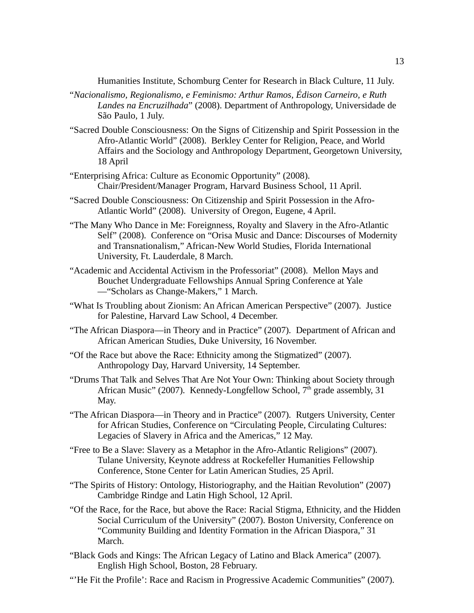Humanities Institute, Schomburg Center for Research in Black Culture, 11 July.

- "*Nacionalismo, Regionalismo, e Feminismo: Arthur Ramos, Édison Carneiro, e Ruth Landes na Encruzilhada*" (2008). Department of Anthropology, Universidade de São Paulo, 1 July.
- "Sacred Double Consciousness: On the Signs of Citizenship and Spirit Possession in the Afro-Atlantic World" (2008). Berkley Center for Religion, Peace, and World Affairs and the Sociology and Anthropology Department, Georgetown University, 18 April
- "Enterprising Africa: Culture as Economic Opportunity" (2008). Chair/President/Manager Program, Harvard Business School, 11 April.
- "Sacred Double Consciousness: On Citizenship and Spirit Possession in the Afro-Atlantic World" (2008). University of Oregon, Eugene, 4 April.
- "The Many Who Dance in Me: Foreignness, Royalty and Slavery in the Afro-Atlantic Self" (2008). Conference on "Orisa Music and Dance: Discourses of Modernity and Transnationalism," African-New World Studies, Florida International University, Ft. Lauderdale, 8 March.
- "Academic and Accidental Activism in the Professoriat" (2008). Mellon Mays and Bouchet Undergraduate Fellowships Annual Spring Conference at Yale —"Scholars as Change-Makers," 1 March.
- "What Is Troubling about Zionism: An African American Perspective" (2007). Justice for Palestine, Harvard Law School, 4 December.
- "The African Diaspora—in Theory and in Practice" (2007). Department of African and African American Studies, Duke University, 16 November.
- "Of the Race but above the Race: Ethnicity among the Stigmatized" (2007). Anthropology Day, Harvard University, 14 September.
- "Drums That Talk and Selves That Are Not Your Own: Thinking about Society through African Music" (2007). Kennedy-Longfellow School,  $7<sup>th</sup>$  grade assembly, 31 May.
- "The African Diaspora—in Theory and in Practice" (2007). Rutgers University, Center for African Studies, Conference on "Circulating People, Circulating Cultures: Legacies of Slavery in Africa and the Americas," 12 May.
- "Free to Be a Slave: Slavery as a Metaphor in the Afro-Atlantic Religions" (2007). Tulane University, Keynote address at Rockefeller Humanities Fellowship Conference, Stone Center for Latin American Studies, 25 April.
- "The Spirits of History: Ontology, Historiography, and the Haitian Revolution" (2007) Cambridge Rindge and Latin High School, 12 April.
- "Of the Race, for the Race, but above the Race: Racial Stigma, Ethnicity, and the Hidden Social Curriculum of the University" (2007). Boston University, Conference on "Community Building and Identity Formation in the African Diaspora," 31 March.
- "Black Gods and Kings: The African Legacy of Latino and Black America" (2007). English High School, Boston, 28 February.
- "'He Fit the Profile': Race and Racism in Progressive Academic Communities" (2007).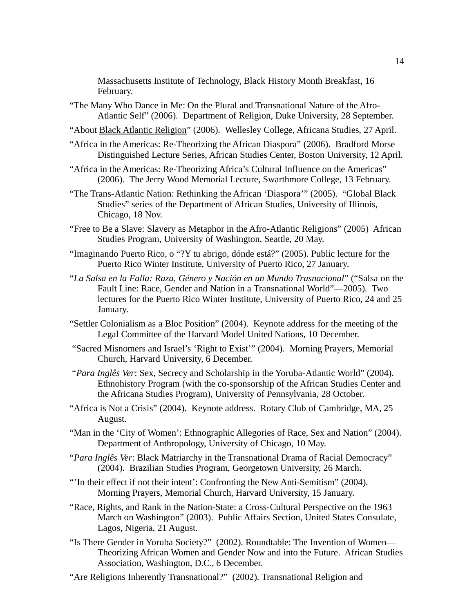Massachusetts Institute of Technology, Black History Month Breakfast, 16 February.

- "The Many Who Dance in Me: On the Plural and Transnational Nature of the Afro-Atlantic Self" (2006). Department of Religion, Duke University, 28 September.
- "About Black Atlantic Religion" (2006). Wellesley College, Africana Studies, 27 April.
- "Africa in the Americas: Re-Theorizing the African Diaspora" (2006). Bradford Morse Distinguished Lecture Series, African Studies Center, Boston University, 12 April.
- "Africa in the Americas: Re-Theorizing Africa's Cultural Influence on the Americas" (2006). The Jerry Wood Memorial Lecture, Swarthmore College, 13 February.
- "The Trans-Atlantic Nation: Rethinking the African 'Diaspora'" (2005). "Global Black Studies" series of the Department of African Studies, University of Illinois, Chicago, 18 Nov.
- "Free to Be a Slave: Slavery as Metaphor in the Afro-Atlantic Religions" (2005) African Studies Program, University of Washington, Seattle, 20 May.
- "Imaginando Puerto Rico, o "?Y tu abrigo, dónde está?" (2005). Public lecture for the Puerto Rico Winter Institute, University of Puerto Rico, 27 January.
- "*La Salsa en la Falla: Raza, Género y Nación en un Mundo Trasnacional*" ("Salsa on the Fault Line: Race, Gender and Nation in a Transnational World"—2005). Two lectures for the Puerto Rico Winter Institute, University of Puerto Rico, 24 and 25 January.
- "Settler Colonialism as a Bloc Position" (2004). Keynote address for the meeting of the Legal Committee of the Harvard Model United Nations, 10 December.
- "Sacred Misnomers and Israel's 'Right to Exist'" (2004). Morning Prayers, Memorial Church, Harvard University, 6 December.
- "*Para Inglês Ver*: Sex, Secrecy and Scholarship in the Yoruba-Atlantic World" (2004). Ethnohistory Program (with the co-sponsorship of the African Studies Center and the Africana Studies Program), University of Pennsylvania, 28 October.
- "Africa is Not a Crisis" (2004). Keynote address. Rotary Club of Cambridge, MA, 25 August.
- "Man in the 'City of Women': Ethnographic Allegories of Race, Sex and Nation" (2004). Department of Anthropology, University of Chicago, 10 May.
- "*Para Inglês Ver*: Black Matriarchy in the Transnational Drama of Racial Democracy" (2004). Brazilian Studies Program, Georgetown University, 26 March.
- "'In their effect if not their intent': Confronting the New Anti-Semitism" (2004). Morning Prayers, Memorial Church, Harvard University, 15 January.
- "Race, Rights, and Rank in the Nation-State: a Cross-Cultural Perspective on the 1963 March on Washington" (2003). Public Affairs Section, United States Consulate, Lagos, Nigeria, 21 August.
- "Is There Gender in Yoruba Society?" (2002). Roundtable: The Invention of Women— Theorizing African Women and Gender Now and into the Future. African Studies Association, Washington, D.C., 6 December.
- "Are Religions Inherently Transnational?" (2002). Transnational Religion and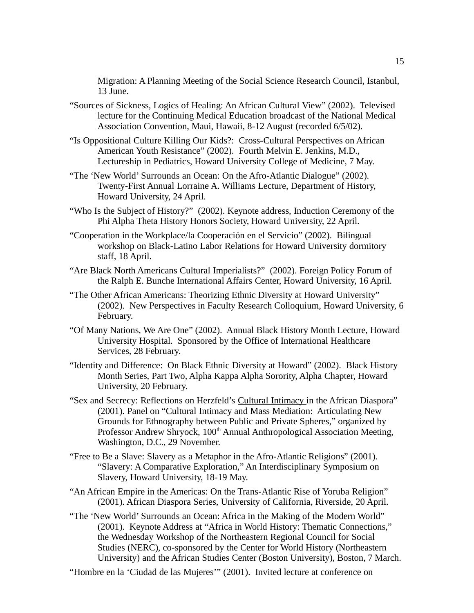Migration: A Planning Meeting of the Social Science Research Council, Istanbul, 13 June.

- "Sources of Sickness, Logics of Healing: An African Cultural View" (2002). Televised lecture for the Continuing Medical Education broadcast of the National Medical Association Convention, Maui, Hawaii, 8-12 August (recorded 6/5/02).
- "Is Oppositional Culture Killing Our Kids?: Cross-Cultural Perspectives on African American Youth Resistance" (2002). Fourth Melvin E. Jenkins, M.D., Lectureship in Pediatrics, Howard University College of Medicine, 7 May.
- "The 'New World' Surrounds an Ocean: On the Afro-Atlantic Dialogue" (2002). Twenty-First Annual Lorraine A. Williams Lecture, Department of History, Howard University, 24 April.
- "Who Is the Subject of History?" (2002). Keynote address, Induction Ceremony of the Phi Alpha Theta History Honors Society, Howard University, 22 April.
- "Cooperation in the Workplace/la Cooperación en el Servicio" (2002). Bilingual workshop on Black-Latino Labor Relations for Howard University dormitory staff, 18 April.
- "Are Black North Americans Cultural Imperialists?" (2002). Foreign Policy Forum of the Ralph E. Bunche International Affairs Center, Howard University, 16 April.
- "The Other African Americans: Theorizing Ethnic Diversity at Howard University" (2002). New Perspectives in Faculty Research Colloquium, Howard University, 6 February.
- "Of Many Nations, We Are One" (2002). Annual Black History Month Lecture, Howard University Hospital. Sponsored by the Office of International Healthcare Services, 28 February.
- "Identity and Difference: On Black Ethnic Diversity at Howard" (2002). Black History Month Series, Part Two, Alpha Kappa Alpha Sorority, Alpha Chapter, Howard University, 20 February.
- "Sex and Secrecy: Reflections on Herzfeld's Cultural Intimacy in the African Diaspora" (2001). Panel on "Cultural Intimacy and Mass Mediation: Articulating New Grounds for Ethnography between Public and Private Spheres," organized by Professor Andrew Shryock, 100<sup>th</sup> Annual Anthropological Association Meeting, Washington, D.C., 29 November.
- "Free to Be a Slave: Slavery as a Metaphor in the Afro-Atlantic Religions" (2001). "Slavery: A Comparative Exploration," An Interdisciplinary Symposium on Slavery, Howard University, 18-19 May.
- "An African Empire in the Americas: On the Trans-Atlantic Rise of Yoruba Religion" (2001). African Diaspora Series, University of California, Riverside, 20 April.
- "The 'New World' Surrounds an Ocean: Africa in the Making of the Modern World" (2001). Keynote Address at "Africa in World History: Thematic Connections," the Wednesday Workshop of the Northeastern Regional Council for Social Studies (NERC), co-sponsored by the Center for World History (Northeastern University) and the African Studies Center (Boston University), Boston, 7 March.

"Hombre en la 'Ciudad de las Mujeres'" (2001). Invited lecture at conference on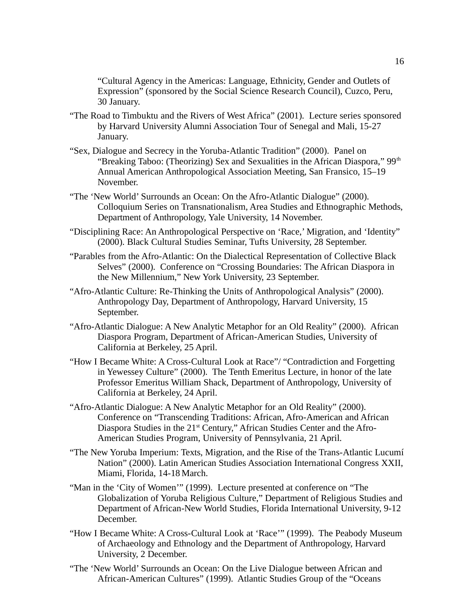"Cultural Agency in the Americas: Language, Ethnicity, Gender and Outlets of Expression" (sponsored by the Social Science Research Council), Cuzco, Peru, 30 January.

- "The Road to Timbuktu and the Rivers of West Africa" (2001). Lecture series sponsored by Harvard University Alumni Association Tour of Senegal and Mali, 15-27 January.
- "Sex, Dialogue and Secrecy in the Yoruba-Atlantic Tradition" (2000). Panel on "Breaking Taboo: (Theorizing) Sex and Sexualities in the African Diaspora,"  $99<sup>th</sup>$ Annual American Anthropological Association Meeting, San Fransico, 15–19 November.
- "The 'New World' Surrounds an Ocean: On the Afro-Atlantic Dialogue" (2000). Colloquium Series on Transnationalism, Area Studies and Ethnographic Methods, Department of Anthropology, Yale University, 14 November.
- "Disciplining Race: An Anthropological Perspective on 'Race,' Migration, and 'Identity" (2000). Black Cultural Studies Seminar, Tufts University, 28 September.
- "Parables from the Afro-Atlantic: On the Dialectical Representation of Collective Black Selves" (2000). Conference on "Crossing Boundaries: The African Diaspora in the New Millennium," New York University, 23 September.
- "Afro-Atlantic Culture: Re-Thinking the Units of Anthropological Analysis" (2000). Anthropology Day, Department of Anthropology, Harvard University, 15 September.
- "Afro-Atlantic Dialogue: A New Analytic Metaphor for an Old Reality" (2000). African Diaspora Program, Department of African-American Studies, University of California at Berkeley, 25 April.
- "How I Became White: A Cross-Cultural Look at Race"/ "Contradiction and Forgetting in Yewessey Culture" (2000). The Tenth Emeritus Lecture, in honor of the late Professor Emeritus William Shack, Department of Anthropology, University of California at Berkeley, 24 April.
- "Afro-Atlantic Dialogue: A New Analytic Metaphor for an Old Reality" (2000). Conference on "Transcending Traditions: African, Afro-American and African Diaspora Studies in the 21<sup>st</sup> Century," African Studies Center and the Afro-American Studies Program, University of Pennsylvania, 21 April.
- "The New Yoruba Imperium: Texts, Migration, and the Rise of the Trans-Atlantic Lucumí Nation" (2000). Latin American Studies Association International Congress XXII, Miami, Florida, 14-18 March.
- "Man in the 'City of Women'" (1999). Lecture presented at conference on "The Globalization of Yoruba Religious Culture," Department of Religious Studies and Department of African-New World Studies, Florida International University, 9-12 December.
- "How I Became White: A Cross-Cultural Look at 'Race'" (1999). The Peabody Museum of Archaeology and Ethnology and the Department of Anthropology, Harvard University, 2 December.
- "The 'New World' Surrounds an Ocean: On the Live Dialogue between African and African-American Cultures" (1999). Atlantic Studies Group of the "Oceans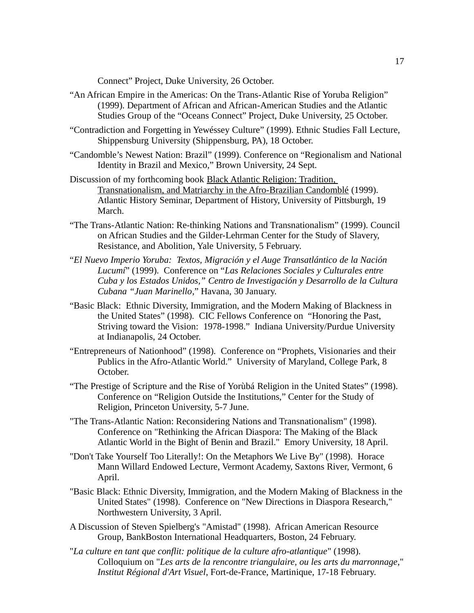Connect" Project, Duke University, 26 October.

- "An African Empire in the Americas: On the Trans-Atlantic Rise of Yoruba Religion" (1999). Department of African and African-American Studies and the Atlantic Studies Group of the "Oceans Connect" Project, Duke University, 25 October.
- "Contradiction and Forgetting in Yewéssey Culture" (1999). Ethnic Studies Fall Lecture, Shippensburg University (Shippensburg, PA), 18 October.
- "Candomble's Newest Nation: Brazil" (1999). Conference on "Regionalism and National Identity in Brazil and Mexico," Brown University, 24 Sept.
- Discussion of my forthcoming book Black Atlantic Religion: Tradition, Transnationalism, and Matriarchy in the Afro-Brazilian Candomblé (1999). Atlantic History Seminar, Department of History, University of Pittsburgh, 19 March.
- "The Trans-Atlantic Nation: Re-thinking Nations and Transnationalism" (1999). Council on African Studies and the Gilder-Lehrman Center for the Study of Slavery, Resistance, and Abolition, Yale University, 5 February.
- "*El Nuevo Imperio Yoruba: Textos, Migración y el Auge Transatlántico de la Nación Lucumí*" (1999). Conference on "*Las Relaciones Sociales y Culturales entre Cuba y los Estados Unidos," Centro de Investigación y Desarrollo de la Cultura Cubana "Juan Marinello*," Havana, 30 January.
- "Basic Black: Ethnic Diversity, Immigration, and the Modern Making of Blackness in the United States" (1998). CIC Fellows Conference on "Honoring the Past, Striving toward the Vision: 1978-1998." Indiana University/Purdue University at Indianapolis, 24 October.
- "Entrepreneurs of Nationhood" (1998). Conference on "Prophets, Visionaries and their Publics in the Afro-Atlantic World." University of Maryland, College Park, 8 October.
- "The Prestige of Scripture and the Rise of Yorùbá Religion in the United States" (1998). Conference on "Religion Outside the Institutions," Center for the Study of Religion, Princeton University, 5-7 June.
- "The Trans-Atlantic Nation: Reconsidering Nations and Transnationalism" (1998). Conference on "Rethinking the African Diaspora: The Making of the Black Atlantic World in the Bight of Benin and Brazil." Emory University, 18 April.
- "Don't Take Yourself Too Literally!: On the Metaphors We Live By" (1998). Horace Mann Willard Endowed Lecture, Vermont Academy, Saxtons River, Vermont, 6 April.
- "Basic Black: Ethnic Diversity, Immigration, and the Modern Making of Blackness in the United States" (1998). Conference on "New Directions in Diaspora Research," Northwestern University, 3 April.
- A Discussion of Steven Spielberg's "Amistad" (1998). African American Resource Group, BankBoston International Headquarters, Boston, 24 February.
- "*La culture en tant que conflit: politique de la culture afro-atlantique*" (1998). Colloquium on "*Les arts de la rencontre triangulaire, ou les arts du marronnage*," *Institut Régional d'Art Visuel*, Fort-de-France, Martinique, 17-18 February.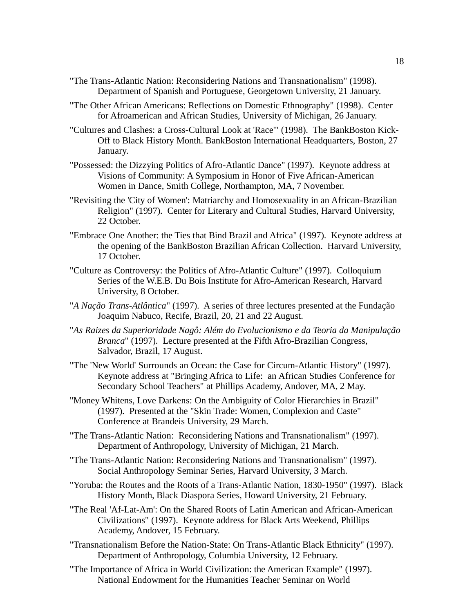- "The Trans-Atlantic Nation: Reconsidering Nations and Transnationalism" (1998). Department of Spanish and Portuguese, Georgetown University, 21 January.
- "The Other African Americans: Reflections on Domestic Ethnography" (1998). Center for Afroamerican and African Studies, University of Michigan, 26 January.
- "Cultures and Clashes: a Cross-Cultural Look at 'Race'" (1998). The BankBoston Kick-Off to Black History Month. BankBoston International Headquarters, Boston, 27 January.
- "Possessed: the Dizzying Politics of Afro-Atlantic Dance" (1997). Keynote address at Visions of Community: A Symposium in Honor of Five African-American Women in Dance, Smith College, Northampton, MA, 7 November.
- "Revisiting the 'City of Women': Matriarchy and Homosexuality in an African-Brazilian Religion" (1997). Center for Literary and Cultural Studies, Harvard University, 22 October.
- "Embrace One Another: the Ties that Bind Brazil and Africa" (1997). Keynote address at the opening of the BankBoston Brazilian African Collection. Harvard University, 17 October.
- "Culture as Controversy: the Politics of Afro-Atlantic Culture" (1997). Colloquium Series of the W.E.B. Du Bois Institute for Afro-American Research, Harvard University, 8 October.
- "*A Nação Trans-Atlântica*" (1997). A series of three lectures presented at the Fundação Joaquim Nabuco, Recife, Brazil, 20, 21 and 22 August.
- "*As Raizes da Superioridade Nagô: Além do Evolucionismo e da Teoria da Manipulação Branca*" (1997). Lecture presented at the Fifth Afro-Brazilian Congress, Salvador, Brazil, 17 August.
- "The 'New World' Surrounds an Ocean: the Case for Circum-Atlantic History" (1997). Keynote address at "Bringing Africa to Life: an African Studies Conference for Secondary School Teachers" at Phillips Academy, Andover, MA, 2 May.
- "Money Whitens, Love Darkens: On the Ambiguity of Color Hierarchies in Brazil" (1997). Presented at the "Skin Trade: Women, Complexion and Caste" Conference at Brandeis University, 29 March.
- "The Trans-Atlantic Nation: Reconsidering Nations and Transnationalism" (1997). Department of Anthropology, University of Michigan, 21 March.
- "The Trans-Atlantic Nation: Reconsidering Nations and Transnationalism" (1997). Social Anthropology Seminar Series, Harvard University, 3 March.
- "Yoruba: the Routes and the Roots of a Trans-Atlantic Nation, 1830-1950" (1997). Black History Month, Black Diaspora Series, Howard University, 21 February.
- "The Real 'Af-Lat-Am': On the Shared Roots of Latin American and African-American Civilizations" (1997). Keynote address for Black Arts Weekend, Phillips Academy, Andover, 15 February.
- "Transnationalism Before the Nation-State: On Trans-Atlantic Black Ethnicity" (1997). Department of Anthropology, Columbia University, 12 February.
- "The Importance of Africa in World Civilization: the American Example" (1997). National Endowment for the Humanities Teacher Seminar on World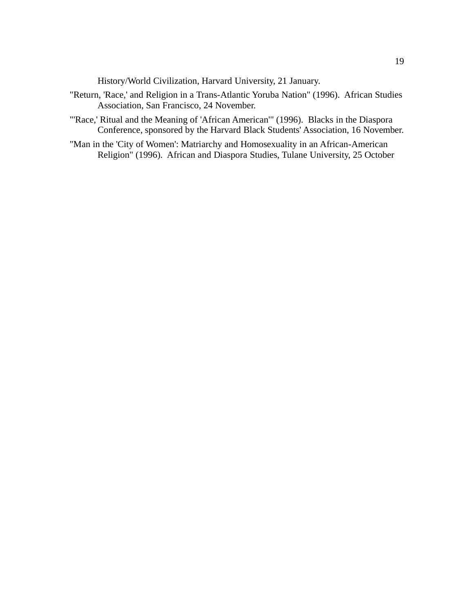History/World Civilization, Harvard University, 21 January.

- "Return, 'Race,' and Religion in a Trans-Atlantic Yoruba Nation" (1996). African Studies Association, San Francisco, 24 November.
- "'Race,' Ritual and the Meaning of 'African American'" (1996). Blacks in the Diaspora Conference, sponsored by the Harvard Black Students' Association, 16 November.
- "Man in the 'City of Women': Matriarchy and Homosexuality in an African-American Religion" (1996). African and Diaspora Studies, Tulane University, 25 October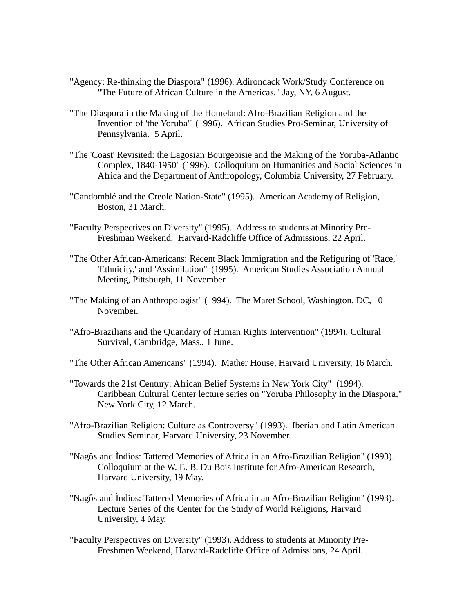- "Agency: Re-thinking the Diaspora" (1996). Adirondack Work/Study Conference on "The Future of African Culture in the Americas," Jay, NY, 6 August.
- "The Diaspora in the Making of the Homeland: Afro-Brazilian Religion and the Invention of 'the Yoruba'" (1996). African Studies Pro-Seminar, University of Pennsylvania. 5 April.
- "The 'Coast' Revisited: the Lagosian Bourgeoisie and the Making of the Yoruba-Atlantic Complex, 1840-1950" (1996). Colloquium on Humanities and Social Sciences in Africa and the Department of Anthropology, Columbia University, 27 February.
- "Candomblé and the Creole Nation-State" (1995). American Academy of Religion, Boston, 31 March.
- "Faculty Perspectives on Diversity" (1995). Address to students at Minority Pre-Freshman Weekend. Harvard-Radcliffe Office of Admissions, 22 April.
- "The Other African-Americans: Recent Black Immigration and the Refiguring of 'Race,' 'Ethnicity,' and 'Assimilation'" (1995). American Studies Association Annual Meeting, Pittsburgh, 11 November.
- "The Making of an Anthropologist" (1994). The Maret School, Washington, DC, 10 November.
- "Afro-Brazilians and the Quandary of Human Rights Intervention" (1994), Cultural Survival, Cambridge, Mass., 1 June.
- "The Other African Americans" (1994). Mather House, Harvard University, 16 March.
- "Towards the 21st Century: African Belief Systems in New York City" (1994). Caribbean Cultural Center lecture series on "Yoruba Philosophy in the Diaspora," New York City, 12 March.
- "Afro-Brazilian Religion: Culture as Controversy" (1993). Iberian and Latin American Studies Seminar, Harvard University, 23 November.
- "Nagôs and Ìndios: Tattered Memories of Africa in an Afro-Brazilian Religion" (1993). Colloquium at the W. E. B. Du Bois Institute for Afro-American Research, Harvard University, 19 May.
- "Nagôs and Ìndios: Tattered Memories of Africa in an Afro-Brazilian Religion" (1993). Lecture Series of the Center for the Study of World Religions, Harvard University, 4 May.
- "Faculty Perspectives on Diversity" (1993). Address to students at Minority Pre-Freshmen Weekend, Harvard-Radcliffe Office of Admissions, 24 April.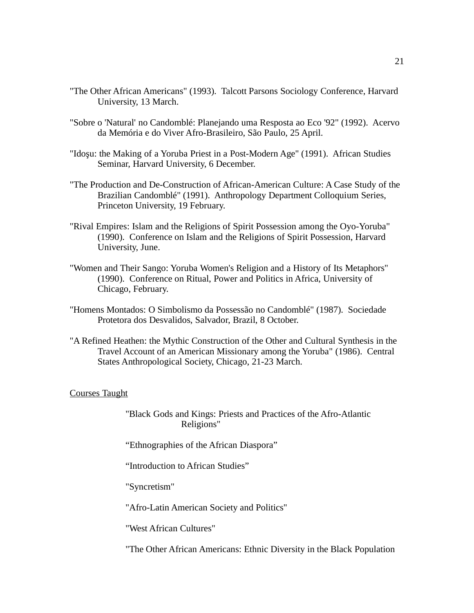- "The Other African Americans" (1993). Talcott Parsons Sociology Conference, Harvard University, 13 March.
- "Sobre o 'Natural' no Candomblé: Planejando uma Resposta ao Eco '92" (1992). Acervo da Memória e do Viver Afro-Brasileiro, São Paulo, 25 April.
- "Idoşu: the Making of a Yoruba Priest in a Post-Modern Age" (1991). African Studies Seminar, Harvard University, 6 December.
- "The Production and De-Construction of African-American Culture: A Case Study of the Brazilian Candomblé" (1991). Anthropology Department Colloquium Series, Princeton University, 19 February.
- "Rival Empires: Islam and the Religions of Spirit Possession among the Oyo-Yoruba" (1990). Conference on Islam and the Religions of Spirit Possession, Harvard University, June.
- "Women and Their Sango: Yoruba Women's Religion and a History of Its Metaphors" (1990). Conference on Ritual, Power and Politics in Africa, University of Chicago, February.
- "Homens Montados: O Simbolismo da Possessão no Candomblé" (1987). Sociedade Protetora dos Desvalidos, Salvador, Brazil, 8 October.
- "A Refined Heathen: the Mythic Construction of the Other and Cultural Synthesis in the Travel Account of an American Missionary among the Yoruba" (1986). Central States Anthropological Society, Chicago, 21-23 March.

#### Courses Taught

"Black Gods and Kings: Priests and Practices of the Afro-Atlantic Religions"

"Ethnographies of the African Diaspora"

"Introduction to African Studies"

"Syncretism"

"Afro-Latin American Society and Politics"

"West African Cultures"

"The Other African Americans: Ethnic Diversity in the Black Population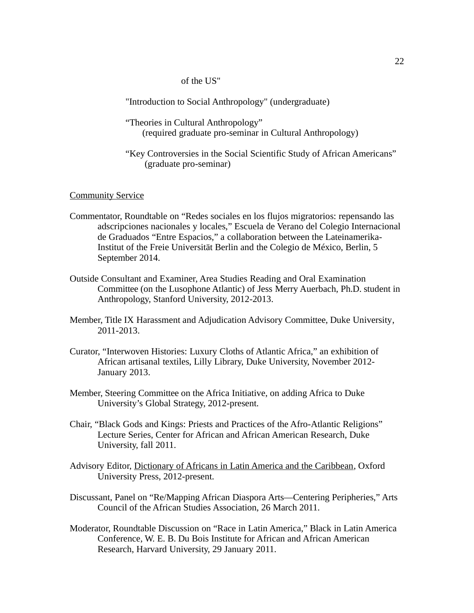of the US"

"Introduction to Social Anthropology" (undergraduate)

"Theories in Cultural Anthropology" (required graduate pro-seminar in Cultural Anthropology)

"Key Controversies in the Social Scientific Study of African Americans" (graduate pro-seminar)

## **Community Service**

- Commentator, Roundtable on "Redes sociales en los flujos migratorios: repensando las adscripciones nacionales y locales," Escuela de Verano del Colegio Internacional de Graduados "Entre Espacios," a collaboration between the Lateinamerika-Institut of the Freie Universität Berlin and the Colegio de México, Berlin, 5 September 2014.
- Outside Consultant and Examiner, Area Studies Reading and Oral Examination Committee (on the Lusophone Atlantic) of Jess Merry Auerbach, Ph.D. student in Anthropology, Stanford University, 2012-2013.
- Member, Title IX Harassment and Adjudication Advisory Committee, Duke University, 2011-2013.
- Curator, "Interwoven Histories: Luxury Cloths of Atlantic Africa," an exhibition of African artisanal textiles, Lilly Library, Duke University, November 2012- January 2013.
- Member, Steering Committee on the Africa Initiative, on adding Africa to Duke University's Global Strategy, 2012-present.
- Chair, "Black Gods and Kings: Priests and Practices of the Afro-Atlantic Religions" Lecture Series, Center for African and African American Research, Duke University, fall 2011.
- Advisory Editor, Dictionary of Africans in Latin America and the Caribbean, Oxford University Press, 2012-present.
- Discussant, Panel on "Re/Mapping African Diaspora Arts—Centering Peripheries," Arts Council of the African Studies Association, 26 March 2011.
- Moderator, Roundtable Discussion on "Race in Latin America," Black in Latin America Conference, W. E. B. Du Bois Institute for African and African American Research, Harvard University, 29 January 2011.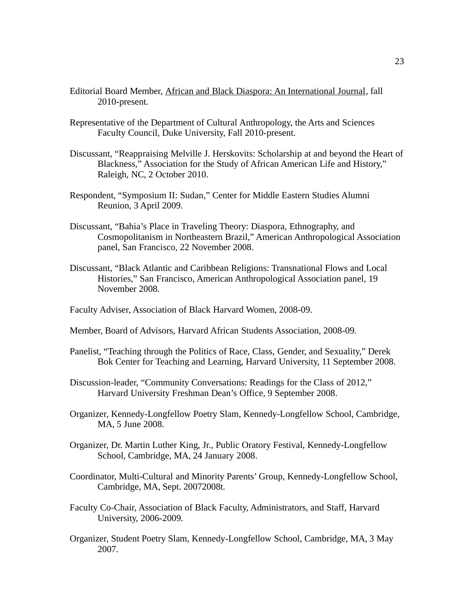- Editorial Board Member, African and Black Diaspora: An International Journal, fall 2010-present.
- Representative of the Department of Cultural Anthropology, the Arts and Sciences Faculty Council, Duke University, Fall 2010-present.
- Discussant, "Reappraising Melville J. Herskovits: Scholarship at and beyond the Heart of Blackness," Association for the Study of African American Life and History," Raleigh, NC, 2 October 2010.
- Respondent, "Symposium II: Sudan," Center for Middle Eastern Studies Alumni Reunion, 3 April 2009.
- Discussant, "Bahia's Place in Traveling Theory: Diaspora, Ethnography, and Cosmopolitanism in Northeastern Brazil," American Anthropological Association panel, San Francisco, 22 November 2008.
- Discussant, "Black Atlantic and Caribbean Religions: Transnational Flows and Local Histories," San Francisco, American Anthropological Association panel, 19 November 2008.
- Faculty Adviser, Association of Black Harvard Women, 2008-09.
- Member, Board of Advisors, Harvard African Students Association, 2008-09.
- Panelist, "Teaching through the Politics of Race, Class, Gender, and Sexuality," Derek Bok Center for Teaching and Learning, Harvard University, 11 September 2008.
- Discussion-leader, "Community Conversations: Readings for the Class of 2012," Harvard University Freshman Dean's Office, 9 September 2008.
- Organizer, Kennedy-Longfellow Poetry Slam, Kennedy-Longfellow School, Cambridge, MA, 5 June 2008.
- Organizer, Dr. Martin Luther King, Jr., Public Oratory Festival, Kennedy-Longfellow School, Cambridge, MA, 24 January 2008.
- Coordinator, Multi-Cultural and Minority Parents' Group, Kennedy-Longfellow School, Cambridge, MA, Sept. 20072008t.
- Faculty Co-Chair, Association of Black Faculty, Administrators, and Staff, Harvard University, 2006-2009.
- Organizer, Student Poetry Slam, Kennedy-Longfellow School, Cambridge, MA, 3 May 2007.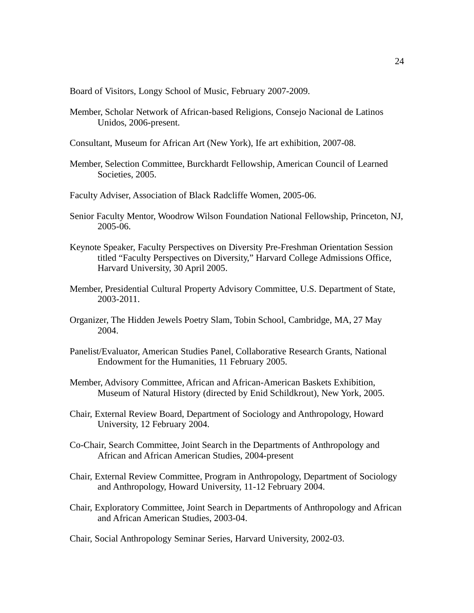Board of Visitors, Longy School of Music, February 2007-2009.

- Member, Scholar Network of African-based Religions, Consejo Nacional de Latinos Unidos, 2006-present.
- Consultant, Museum for African Art (New York), Ife art exhibition, 2007-08.
- Member, Selection Committee, Burckhardt Fellowship, American Council of Learned Societies, 2005.
- Faculty Adviser, Association of Black Radcliffe Women, 2005-06.
- Senior Faculty Mentor, Woodrow Wilson Foundation National Fellowship, Princeton, NJ, 2005-06.
- Keynote Speaker, Faculty Perspectives on Diversity Pre-Freshman Orientation Session titled "Faculty Perspectives on Diversity," Harvard College Admissions Office, Harvard University, 30 April 2005.
- Member, Presidential Cultural Property Advisory Committee, U.S. Department of State, 2003-2011.
- Organizer, The Hidden Jewels Poetry Slam, Tobin School, Cambridge, MA, 27 May 2004.
- Panelist/Evaluator, American Studies Panel, Collaborative Research Grants, National Endowment for the Humanities, 11 February 2005.
- Member, Advisory Committee, African and African-American Baskets Exhibition, Museum of Natural History (directed by Enid Schildkrout), New York, 2005.
- Chair, External Review Board, Department of Sociology and Anthropology, Howard University, 12 February 2004.
- Co-Chair, Search Committee, Joint Search in the Departments of Anthropology and African and African American Studies, 2004-present
- Chair, External Review Committee, Program in Anthropology, Department of Sociology and Anthropology, Howard University, 11-12 February 2004.
- Chair, Exploratory Committee, Joint Search in Departments of Anthropology and African and African American Studies, 2003-04.

Chair, Social Anthropology Seminar Series, Harvard University, 2002-03.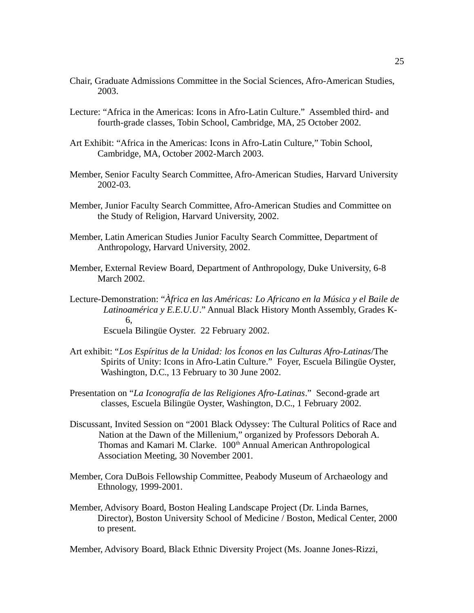- Chair, Graduate Admissions Committee in the Social Sciences, Afro-American Studies, 2003.
- Lecture: "Africa in the Americas: Icons in Afro-Latin Culture." Assembled third- and fourth-grade classes, Tobin School, Cambridge, MA, 25 October 2002.
- Art Exhibit: "Africa in the Americas: Icons in Afro-Latin Culture," Tobin School, Cambridge, MA, October 2002-March 2003.
- Member, Senior Faculty Search Committee, Afro-American Studies, Harvard University 2002-03.
- Member, Junior Faculty Search Committee, Afro-American Studies and Committee on the Study of Religion, Harvard University, 2002.
- Member, Latin American Studies Junior Faculty Search Committee, Department of Anthropology, Harvard University, 2002.
- Member, External Review Board, Department of Anthropology, Duke University, 6-8 March 2002.
- Lecture-Demonstration: "*Àfrica en las Américas: Lo Africano en la Música y el Baile de Latinoamérica y E.E.U.U*." Annual Black History Month Assembly, Grades K-6,

Escuela Bilingüe Oyster. 22 February 2002.

- Art exhibit: "*Los Espíritus de la Unidad: los Íconos en las Culturas Afro-Latinas*/The Spirits of Unity: Icons in Afro-Latin Culture." Foyer, Escuela Bilingüe Oyster, Washington, D.C., 13 February to 30 June 2002.
- Presentation on "*La Iconografía de las Religiones Afro-Latinas*." Second-grade art classes, Escuela Bilingüe Oyster, Washington, D.C., 1 February 2002.
- Discussant, Invited Session on "2001 Black Odyssey: The Cultural Politics of Race and Nation at the Dawn of the Millenium," organized by Professors Deborah A. Thomas and Kamari M. Clarke. 100<sup>th</sup> Annual American Anthropological Association Meeting, 30 November 2001.
- Member, Cora DuBois Fellowship Committee, Peabody Museum of Archaeology and Ethnology, 1999-2001.
- Member, Advisory Board, Boston Healing Landscape Project (Dr. Linda Barnes, Director), Boston University School of Medicine / Boston, Medical Center, 2000 to present.

Member, Advisory Board, Black Ethnic Diversity Project (Ms. Joanne Jones-Rizzi,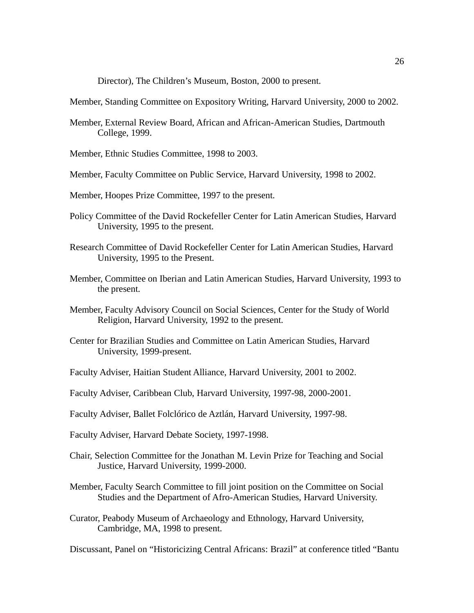Director), The Children's Museum, Boston, 2000 to present.

Member, Standing Committee on Expository Writing, Harvard University, 2000 to 2002.

- Member, External Review Board, African and African-American Studies, Dartmouth College, 1999.
- Member, Ethnic Studies Committee, 1998 to 2003.
- Member, Faculty Committee on Public Service, Harvard University, 1998 to 2002.
- Member, Hoopes Prize Committee, 1997 to the present.
- Policy Committee of the David Rockefeller Center for Latin American Studies, Harvard University, 1995 to the present.
- Research Committee of David Rockefeller Center for Latin American Studies, Harvard University, 1995 to the Present.
- Member, Committee on Iberian and Latin American Studies, Harvard University, 1993 to the present.
- Member, Faculty Advisory Council on Social Sciences, Center for the Study of World Religion, Harvard University, 1992 to the present.
- Center for Brazilian Studies and Committee on Latin American Studies, Harvard University, 1999-present.
- Faculty Adviser, Haitian Student Alliance, Harvard University, 2001 to 2002.
- Faculty Adviser, Caribbean Club, Harvard University, 1997-98, 2000-2001.
- Faculty Adviser, Ballet Folclórico de Aztlán, Harvard University, 1997-98.
- Faculty Adviser, Harvard Debate Society, 1997-1998.
- Chair, Selection Committee for the Jonathan M. Levin Prize for Teaching and Social Justice, Harvard University, 1999-2000.
- Member, Faculty Search Committee to fill joint position on the Committee on Social Studies and the Department of Afro-American Studies, Harvard University.
- Curator, Peabody Museum of Archaeology and Ethnology, Harvard University, Cambridge, MA, 1998 to present.

Discussant, Panel on "Historicizing Central Africans: Brazil" at conference titled "Bantu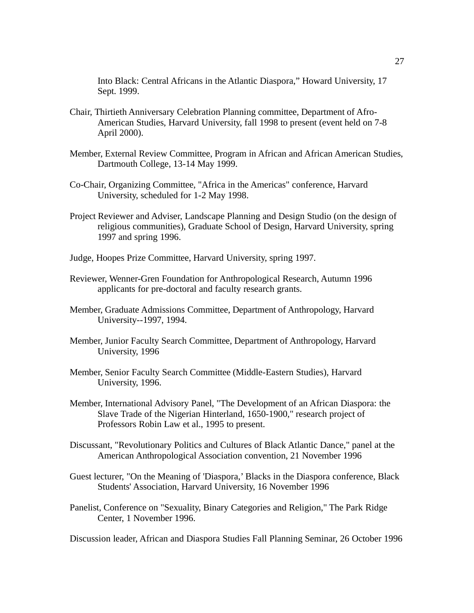Into Black: Central Africans in the Atlantic Diaspora," Howard University, 17 Sept. 1999.

- Chair, Thirtieth Anniversary Celebration Planning committee, Department of Afro-American Studies, Harvard University, fall 1998 to present (event held on 7-8 April 2000).
- Member, External Review Committee, Program in African and African American Studies, Dartmouth College, 13-14 May 1999.
- Co-Chair, Organizing Committee, "Africa in the Americas" conference, Harvard University, scheduled for 1-2 May 1998.
- Project Reviewer and Adviser, Landscape Planning and Design Studio (on the design of religious communities), Graduate School of Design, Harvard University, spring 1997 and spring 1996.
- Judge, Hoopes Prize Committee, Harvard University, spring 1997.
- Reviewer, Wenner-Gren Foundation for Anthropological Research, Autumn 1996 applicants for pre-doctoral and faculty research grants.
- Member, Graduate Admissions Committee, Department of Anthropology, Harvard University--1997, 1994.
- Member, Junior Faculty Search Committee, Department of Anthropology, Harvard University, 1996
- Member, Senior Faculty Search Committee (Middle-Eastern Studies), Harvard University, 1996.
- Member, International Advisory Panel, "The Development of an African Diaspora: the Slave Trade of the Nigerian Hinterland, 1650-1900," research project of Professors Robin Law et al., 1995 to present.
- Discussant, "Revolutionary Politics and Cultures of Black Atlantic Dance," panel at the American Anthropological Association convention, 21 November 1996
- Guest lecturer, "On the Meaning of 'Diaspora,' Blacks in the Diaspora conference, Black Students' Association, Harvard University, 16 November 1996
- Panelist, Conference on "Sexuality, Binary Categories and Religion," The Park Ridge Center, 1 November 1996.

Discussion leader, African and Diaspora Studies Fall Planning Seminar, 26 October 1996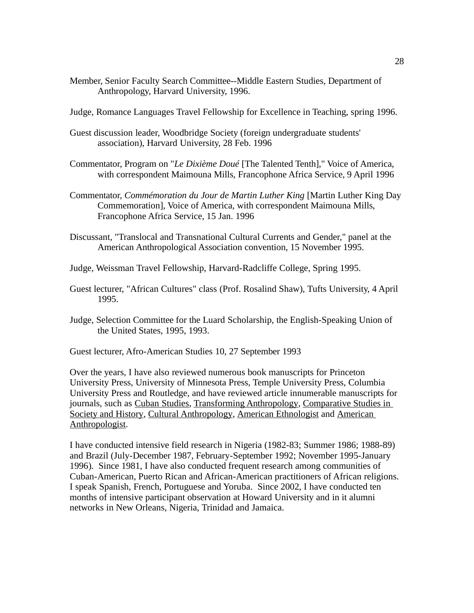Member, Senior Faculty Search Committee--Middle Eastern Studies, Department of Anthropology, Harvard University, 1996.

Judge, Romance Languages Travel Fellowship for Excellence in Teaching, spring 1996.

- Guest discussion leader, Woodbridge Society (foreign undergraduate students' association), Harvard University, 28 Feb. 1996
- Commentator, Program on "*Le Dixième Doué* [The Talented Tenth]," Voice of America, with correspondent Maimouna Mills, Francophone Africa Service, 9 April 1996
- Commentator, *Commémoration du Jour de Martin Luther King* [Martin Luther King Day Commemoration], Voice of America, with correspondent Maimouna Mills, Francophone Africa Service, 15 Jan. 1996
- Discussant, "Translocal and Transnational Cultural Currents and Gender," panel at the American Anthropological Association convention, 15 November 1995.

Judge, Weissman Travel Fellowship, Harvard-Radcliffe College, Spring 1995.

- Guest lecturer, "African Cultures" class (Prof. Rosalind Shaw), Tufts University, 4 April 1995.
- Judge, Selection Committee for the Luard Scholarship, the English-Speaking Union of the United States, 1995, 1993.

Guest lecturer, Afro-American Studies 10, 27 September 1993

Over the years, I have also reviewed numerous book manuscripts for Princeton University Press, University of Minnesota Press, Temple University Press, Columbia University Press and Routledge, and have reviewed article innumerable manuscripts for journals, such as Cuban Studies, Transforming Anthropology, Comparative Studies in Society and History, Cultural Anthropology, American Ethnologist and American Anthropologist.

I have conducted intensive field research in Nigeria (1982-83; Summer 1986; 1988-89) and Brazil (July-December 1987, February-September 1992; November 1995-January 1996). Since 1981, I have also conducted frequent research among communities of Cuban-American, Puerto Rican and African-American practitioners of African religions. I speak Spanish, French, Portuguese and Yoruba. Since 2002, I have conducted ten months of intensive participant observation at Howard University and in it alumni networks in New Orleans, Nigeria, Trinidad and Jamaica.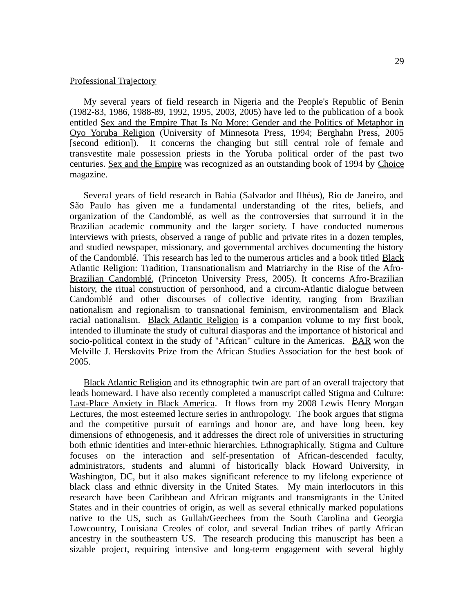## Professional Trajectory

My several years of field research in Nigeria and the People's Republic of Benin (1982-83, 1986, 1988-89, 1992, 1995, 2003, 2005) have led to the publication of a book entitled Sex and the Empire That Is No More: Gender and the Politics of Metaphor in Oyo Yoruba Religion (University of Minnesota Press, 1994; Berghahn Press, 2005 [second edition]). It concerns the changing but still central role of female and transvestite male possession priests in the Yoruba political order of the past two centuries. Sex and the Empire was recognized as an outstanding book of 1994 by Choice magazine.

Several years of field research in Bahia (Salvador and Ilhéus), Rio de Janeiro, and São Paulo has given me a fundamental understanding of the rites, beliefs, and organization of the Candomblé, as well as the controversies that surround it in the Brazilian academic community and the larger society. I have conducted numerous interviews with priests, observed a range of public and private rites in a dozen temples, and studied newspaper, missionary, and governmental archives documenting the history of the Candomblé. This research has led to the numerous articles and a book titled Black Atlantic Religion: Tradition, Transnationalism and Matriarchy in the Rise of the Afro-Brazilian Candomblé, (Princeton University Press, 2005). It concerns Afro-Brazilian history, the ritual construction of personhood, and a circum-Atlantic dialogue between Candomblé and other discourses of collective identity, ranging from Brazilian nationalism and regionalism to transnational feminism, environmentalism and Black racial nationalism. Black Atlantic Religion is a companion volume to my first book, intended to illuminate the study of cultural diasporas and the importance of historical and socio-political context in the study of "African" culture in the Americas. BAR won the Melville J. Herskovits Prize from the African Studies Association for the best book of 2005.

Black Atlantic Religion and its ethnographic twin are part of an overall trajectory that leads homeward. I have also recently completed a manuscript called Stigma and Culture: Last-Place Anxiety in Black America. It flows from my 2008 Lewis Henry Morgan Lectures, the most esteemed lecture series in anthropology. The book argues that stigma and the competitive pursuit of earnings and honor are, and have long been, key dimensions of ethnogenesis, and it addresses the direct role of universities in structuring both ethnic identities and inter-ethnic hierarchies. Ethnographically, Stigma and Culture focuses on the interaction and self-presentation of African-descended faculty, administrators, students and alumni of historically black Howard University, in Washington, DC, but it also makes significant reference to my lifelong experience of black class and ethnic diversity in the United States. My main interlocutors in this research have been Caribbean and African migrants and transmigrants in the United States and in their countries of origin, as well as several ethnically marked populations native to the US, such as Gullah/Geechees from the South Carolina and Georgia Lowcountry, Louisiana Creoles of color, and several Indian tribes of partly African ancestry in the southeastern US. The research producing this manuscript has been a sizable project, requiring intensive and long-term engagement with several highly